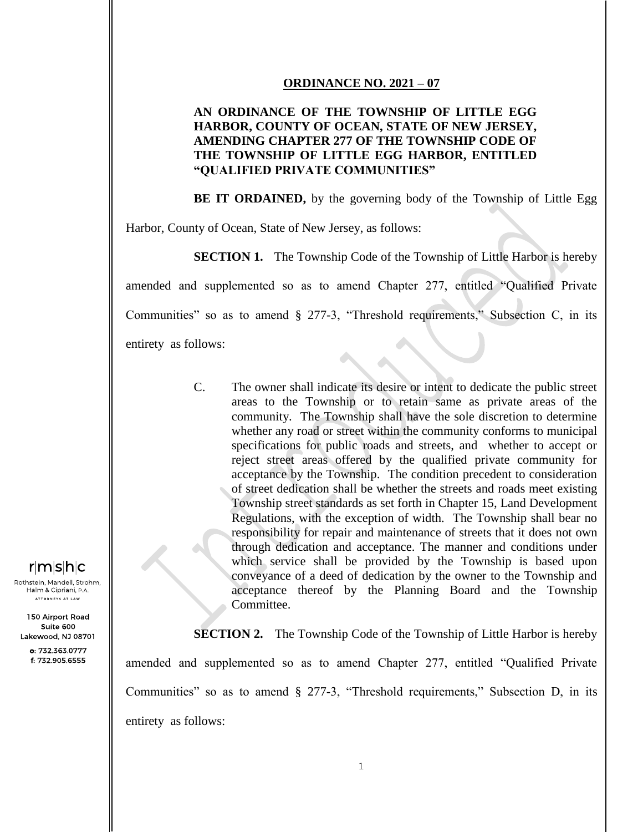## **ORDINANCE NO. 2021 – 07**

## **AN ORDINANCE OF THE TOWNSHIP OF LITTLE EGG HARBOR, COUNTY OF OCEAN, STATE OF NEW JERSEY, AMENDING CHAPTER 277 OF THE TOWNSHIP CODE OF THE TOWNSHIP OF LITTLE EGG HARBOR, ENTITLED "QUALIFIED PRIVATE COMMUNITIES"**

**BE IT ORDAINED,** by the governing body of the Township of Little Egg

Harbor, County of Ocean, State of New Jersey, as follows:

**SECTION 1.** The Township Code of the Township of Little Harbor is hereby amended and supplemented so as to amend Chapter 277, entitled "Qualified Private Communities" so as to amend § 277-3, "Threshold requirements," Subsection C, in its entirety as follows:

> C. The owner shall indicate its desire or intent to dedicate the public street areas to the Township or to retain same as private areas of the community. The Township shall have the sole discretion to determine whether any road or street within the community conforms to municipal specifications for public roads and streets, and whether to accept or reject street areas offered by the qualified private community for acceptance by the Township. The condition precedent to consideration of street dedication shall be whether the streets and roads meet existing Township street standards as set forth in Chapter 15, Land Development Regulations, with the exception of width. The Township shall bear no responsibility for repair and maintenance of streets that it does not own through dedication and acceptance. The manner and conditions under which service shall be provided by the Township is based upon conveyance of a deed of dedication by the owner to the Township and acceptance thereof by the Planning Board and the Township Committee.

**SECTION 2.** The Township Code of the Township of Little Harbor is hereby amended and supplemented so as to amend Chapter 277, entitled "Qualified Private Communities" so as to amend § 277-3, "Threshold requirements," Subsection D, in its entirety as follows:

## $r|m|s|h|c$

Rothstein, Mandell, Strohm, Halm & Cipriani, P.A. .<br>ATTORNEYS AT LAW

150 Airport Road Suite 600 Lakewood, NJ 08701

> o: 732.363.0777 f: 732.905.6555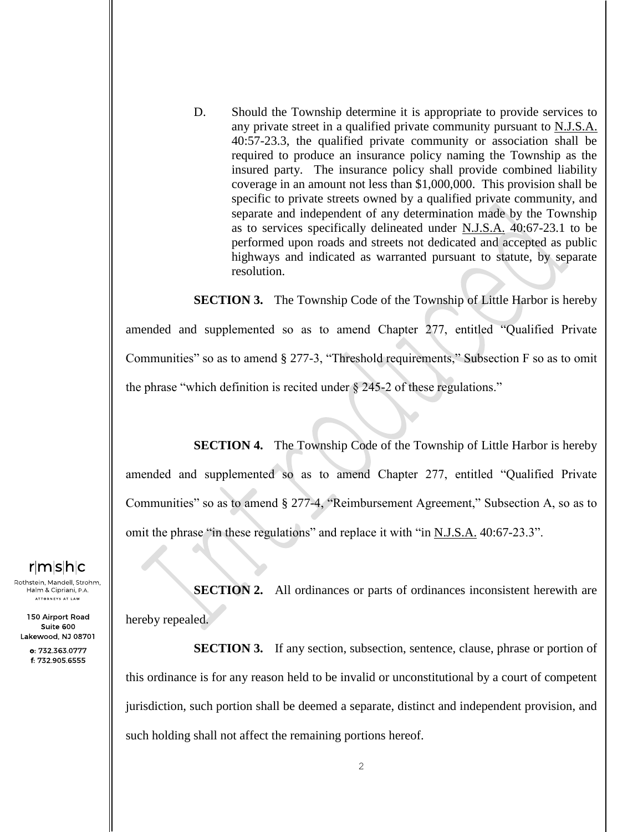D. Should the Township determine it is appropriate to provide services to any private street in a qualified private community pursuant to N.J.S.A. 40:57-23.3, the qualified private community or association shall be required to produce an insurance policy naming the Township as the insured party. The insurance policy shall provide combined liability coverage in an amount not less than \$1,000,000. This provision shall be specific to private streets owned by a qualified private community, and separate and independent of any determination made by the Township as to services specifically delineated under N.J.S.A. 40:67-23.1 to be performed upon roads and streets not dedicated and accepted as public highways and indicated as warranted pursuant to statute, by separate resolution.

**SECTION 3.** The Township Code of the Township of Little Harbor is hereby amended and supplemented so as to amend Chapter 277, entitled "Qualified Private Communities" so as to amend § 277-3, "Threshold requirements," Subsection F so as to omit the phrase "which definition is recited under  $\S$  245-2 of these regulations."

**SECTION 4.** The Township Code of the Township of Little Harbor is hereby amended and supplemented so as to amend Chapter 277, entitled "Qualified Private Communities" so as to amend § 277-4, "Reimbursement Agreement," Subsection A, so as to omit the phrase "in these regulations" and replace it with "in N.J.S.A. 40:67-23.3".

 $r|m|s|h|c$ 

Rothstein, Mandell, Strohm, Halm & Cipriani, P.A. .<br>ATTORNEYS AT LAW

150 Airport Road Suite 600 Lakewood, NJ 08701

> o: 732.363.0777 f: 732.905.6555

**SECTION 2.** All ordinances or parts of ordinances inconsistent herewith are hereby repealed.

**SECTION 3.** If any section, subsection, sentence, clause, phrase or portion of this ordinance is for any reason held to be invalid or unconstitutional by a court of competent jurisdiction, such portion shall be deemed a separate, distinct and independent provision, and such holding shall not affect the remaining portions hereof.